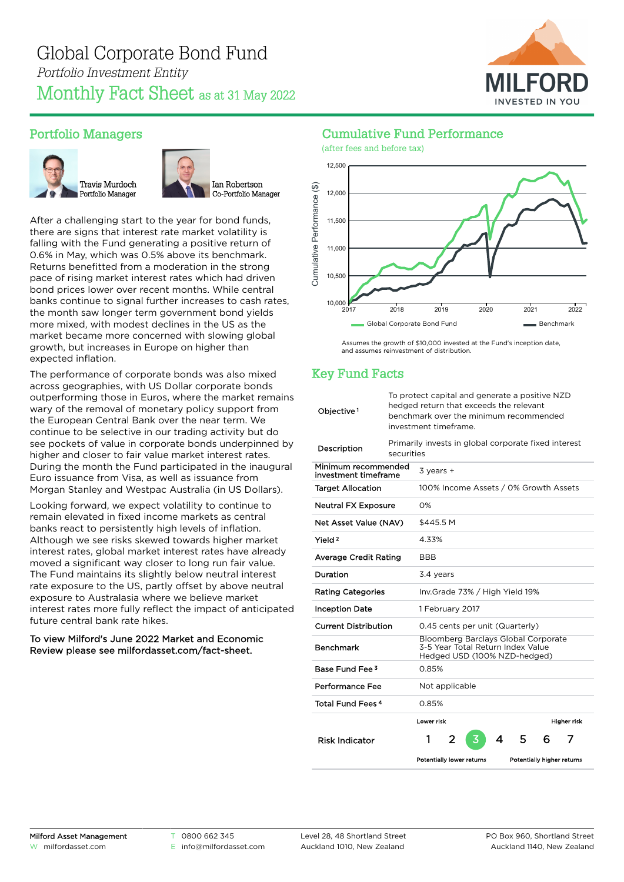

# Portfolio Managers





After a challenging start to the year for bond funds, there are signs that interest rate market volatility is falling with the Fund generating a positive return of 0.6% in May, which was 0.5% above its benchmark. Returns benefitted from a moderation in the strong pace of rising market interest rates which had driven bond prices lower over recent months. While central banks continue to signal further increases to cash rates, the month saw longer term government bond yields more mixed, with modest declines in the US as the market became more concerned with slowing global growth, but increases in Europe on higher than expected inflation.

The performance of corporate bonds was also mixed across geographies, with US Dollar corporate bonds outperforming those in Euros, where the market remains wary of the removal of monetary policy support from the European Central Bank over the near term. We continue to be selective in our trading activity but do see pockets of value in corporate bonds underpinned by higher and closer to fair value market interest rates. During the month the Fund participated in the inaugural Euro issuance from Visa, as well as issuance from Morgan Stanley and Westpac Australia (in US Dollars).

Looking forward, we expect volatility to continue to remain elevated in fixed income markets as central banks react to persistently high levels of inflation. Although we see risks skewed towards higher market interest rates, global market interest rates have already moved a significant way closer to long run fair value. The Fund maintains its slightly below neutral interest rate exposure to the US, partly offset by above neutral exposure to Australasia where we believe market interest rates more fully reflect the impact of anticipated future central bank rate hikes.

#### To view Milford's June 2022 Market and Economic Review please see [milfordasset.com/fact-sheet](https://milfordasset.com/wp-content/uploads/2022/06/Market-and-Economic-Review-June-2022.pdf).

# Cumulative Fund Performance



Assumes the growth of \$10,000 invested at the Fund's inception date, and assumes reinvestment of distribution.

# Key Fund Facts

| Objective <sup>1</sup>                      |                                                                    | To protect capital and generate a positive NZD<br>hedged return that exceeds the relevant<br>benchmark over the minimum recommended<br>investment timeframe. |  |  |  |  |  |
|---------------------------------------------|--------------------------------------------------------------------|--------------------------------------------------------------------------------------------------------------------------------------------------------------|--|--|--|--|--|
| Description                                 | Primarily invests in global corporate fixed interest<br>securities |                                                                                                                                                              |  |  |  |  |  |
| Minimum recommended<br>investment timeframe |                                                                    | $3$ years $+$                                                                                                                                                |  |  |  |  |  |
| <b>Target Allocation</b>                    |                                                                    | 100% Income Assets / 0% Growth Assets                                                                                                                        |  |  |  |  |  |
| <b>Neutral FX Exposure</b>                  |                                                                    | O%                                                                                                                                                           |  |  |  |  |  |
| Net Asset Value (NAV)                       |                                                                    | \$445.5 M                                                                                                                                                    |  |  |  |  |  |
| Yield <sup>2</sup>                          |                                                                    | 4.33%                                                                                                                                                        |  |  |  |  |  |
| Average Credit Rating                       |                                                                    | <b>BBB</b>                                                                                                                                                   |  |  |  |  |  |
| Duration                                    |                                                                    | 3.4 years                                                                                                                                                    |  |  |  |  |  |
| <b>Rating Categories</b>                    |                                                                    | Inv.Grade 73% / High Yield 19%                                                                                                                               |  |  |  |  |  |
| Inception Date                              |                                                                    | 1 February 2017                                                                                                                                              |  |  |  |  |  |
| <b>Current Distribution</b>                 |                                                                    | 0.45 cents per unit (Quarterly)                                                                                                                              |  |  |  |  |  |
| Benchmark                                   |                                                                    | Bloomberg Barclays Global Corporate<br>3-5 Year Total Return Index Value<br>Hedged USD (100% NZD-hedged)                                                     |  |  |  |  |  |
| Base Fund Fee <sup>3</sup>                  |                                                                    | 0.85%                                                                                                                                                        |  |  |  |  |  |
| Performance Fee                             |                                                                    | Not applicable                                                                                                                                               |  |  |  |  |  |
| Total Fund Fees <sup>4</sup>                |                                                                    | 0.85%                                                                                                                                                        |  |  |  |  |  |
|                                             |                                                                    | Lower risk<br>Higher risk                                                                                                                                    |  |  |  |  |  |
| <b>Risk Indicator</b>                       |                                                                    | 1<br>2<br>5<br>3<br>4<br>6<br>7                                                                                                                              |  |  |  |  |  |
|                                             |                                                                    | Potentially lower returns<br>Potentially higher returns                                                                                                      |  |  |  |  |  |